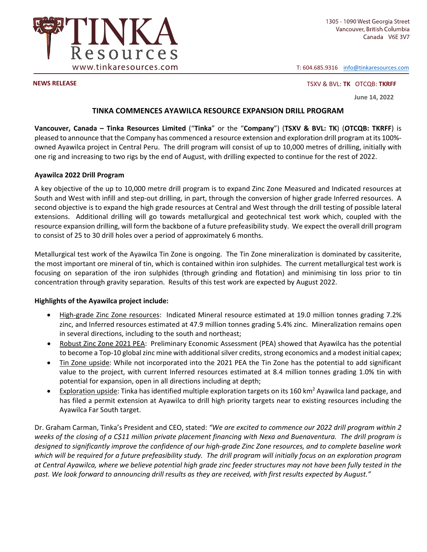

T: 604.685.9316 info@tinkaresources.com

**NEWS RELEASE**  TSXV & BVL: **TK** OTCQB: **TKRFF**

**June 14, 2022** 

# **TINKA COMMENCES AYAWILCA RESOURCE EXPANSION DRILL PROGRAM**

**Vancouver, Canada – Tinka Resources Limited** ("**Tinka**" or the "**Company**") (**TSXV & BVL: TK**) (**OTCQB: TKRFF**) is pleased to announce that the Company has commenced a resource extension and exploration drill program at its 100%owned Ayawilca project in Central Peru. The drill program will consist of up to 10,000 metres of drilling, initially with one rig and increasing to two rigs by the end of August, with drilling expected to continue for the rest of 2022.

### **Ayawilca 2022 Drill Program**

A key objective of the up to 10,000 metre drill program is to expand Zinc Zone Measured and Indicated resources at South and West with infill and step-out drilling, in part, through the conversion of higher grade Inferred resources. A second objective is to expand the high grade resources at Central and West through the drill testing of possible lateral extensions. Additional drilling will go towards metallurgical and geotechnical test work which, coupled with the resource expansion drilling, will form the backbone of a future prefeasibility study. We expect the overall drill program to consist of 25 to 30 drill holes over a period of approximately 6 months.

Metallurgical test work of the Ayawilca Tin Zone is ongoing. The Tin Zone mineralization is dominated by cassiterite, the most important ore mineral of tin, which is contained within iron sulphides. The current metallurgical test work is focusing on separation of the iron sulphides (through grinding and flotation) and minimising tin loss prior to tin concentration through gravity separation. Results of this test work are expected by August 2022.

## **Highlights of the Ayawilca project include:**

- High-grade Zinc Zone resources: Indicated Mineral resource estimated at 19.0 million tonnes grading 7.2% zinc, and Inferred resources estimated at 47.9 million tonnes grading 5.4% zinc. Mineralization remains open in several directions, including to the south and northeast;
- Robust Zinc Zone 2021 PEA: Preliminary Economic Assessment (PEA) showed that Ayawilca has the potential to become a Top-10 global zinc mine with additional silver credits, strong economics and a modest initial capex;
- Tin Zone upside: While not incorporated into the 2021 PEA the Tin Zone has the potential to add significant value to the project, with current Inferred resources estimated at 8.4 million tonnes grading 1.0% tin with potential for expansion, open in all directions including at depth;
- Exploration upside: Tinka has identified multiple exploration targets on its 160 km<sup>2</sup> Ayawilca land package, and has filed a permit extension at Ayawilca to drill high priority targets near to existing resources including the Ayawilca Far South target.

Dr. Graham Carman, Tinka's President and CEO, stated: *"We are excited to commence our 2022 drill program within 2*  weeks of the closing of a C\$11 million private placement financing with Nexa and Buenaventura. The drill program is *designed to significantly improve the confidence of our high‐grade Zinc Zone resources, and to complete baseline work which will be required for a future prefeasibility study. The drill program will initially focus on an exploration program at Central Ayawilca, where we believe potential high grade zinc feeder structures may not have been fully tested in the past. We look forward to announcing drill results as they are received, with first results expected by August."*